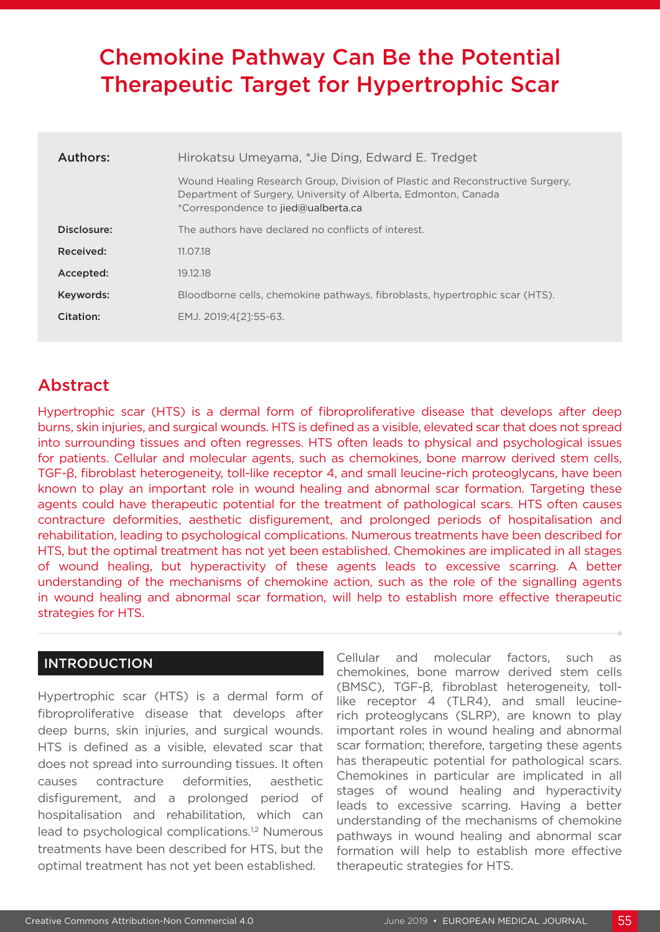# Chemokine Pathway Can Be the Potential Therapeutic Target for Hypertrophic Scar

| Authors:    | Hirokatsu Umeyama, *Jie Ding, Edward E. Tredget                                                                                                                                        |
|-------------|----------------------------------------------------------------------------------------------------------------------------------------------------------------------------------------|
|             | Wound Healing Research Group, Division of Plastic and Reconstructive Surgery.<br>Department of Surgery, University of Alberta, Edmonton, Canada<br>*Correspondence to jied@ualberta.ca |
| Disclosure: | The authors have declared no conflicts of interest.                                                                                                                                    |
| Received:   | 11.07.18                                                                                                                                                                               |
| Accepted:   | 19.12.18                                                                                                                                                                               |
| Keywords:   | Bloodborne cells, chemokine pathways, fibroblasts, hypertrophic scar (HTS).                                                                                                            |
| Citation:   | EMJ. 2019:4[21:55-63.                                                                                                                                                                  |

# Abstract

Hypertrophic scar (HTS) is a dermal form of fibroproliferative disease that develops after deep burns, skin injuries, and surgical wounds. HTS is defined as a visible, elevated scar that does not spread into surrounding tissues and often regresses. HTS often leads to physical and psychological issues for patients. Cellular and molecular agents, such as chemokines, bone marrow derived stem cells, TGF-β, fibroblast heterogeneity, toll-like receptor 4, and small leucine-rich proteoglycans, have been known to play an important role in wound healing and abnormal scar formation. Targeting these agents could have therapeutic potential for the treatment of pathological scars. HTS often causes contracture deformities, aesthetic disfigurement, and prolonged periods of hospitalisation and rehabilitation, leading to psychological complications. Numerous treatments have been described for HTS, but the optimal treatment has not yet been established. Chemokines are implicated in all stages of wound healing, but hyperactivity of these agents leads to excessive scarring. A better understanding of the mechanisms of chemokine action, such as the role of the signalling agents in wound healing and abnormal scar formation, will help to establish more effective therapeutic strategies for HTS.

# INTRODUCTION

Hypertrophic scar (HTS) is a dermal form of fibroproliferative disease that develops after deep burns, skin injuries, and surgical wounds. HTS is defined as a visible, elevated scar that does not spread into surrounding tissues. It often causes contracture deformities, aesthetic disfigurement, and a prolonged period of hospitalisation and rehabilitation, which can lead to psychological complications.<sup>1,2</sup> Numerous treatments have been described for HTS, but the optimal treatment has not yet been established.

Cellular and molecular factors, such as chemokines, bone marrow derived stem cells (BMSC), TGF-β, fibroblast heterogeneity, tolllike receptor 4 (TLR4), and small leucinerich proteoglycans (SLRP), are known to play important roles in wound healing and abnormal scar formation; therefore, targeting these agents has therapeutic potential for pathological scars. Chemokines in particular are implicated in all stages of wound healing and hyperactivity leads to excessive scarring. Having a better understanding of the mechanisms of chemokine pathways in wound healing and abnormal scar formation will help to establish more effective therapeutic strategies for HTS.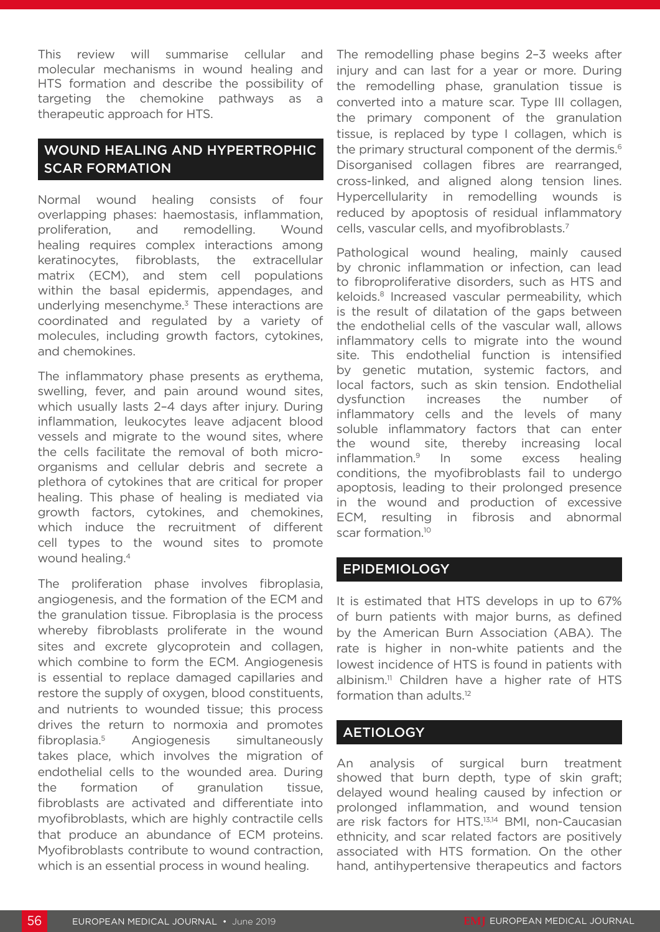This review will summarise cellular and molecular mechanisms in wound healing and HTS formation and describe the possibility of targeting the chemokine pathways as a therapeutic approach for HTS.

# WOUND HEALING AND HYPERTROPHIC SCAR FORMATION

Normal wound healing consists of four overlapping phases: haemostasis, inflammation, proliferation, and remodelling. Wound healing requires complex interactions among keratinocytes, fibroblasts, the extracellular matrix (ECM), and stem cell populations within the basal epidermis, appendages, and underlying mesenchyme.<sup>3</sup> These interactions are coordinated and regulated by a variety of molecules, including growth factors, cytokines, and chemokines.

The inflammatory phase presents as erythema, swelling, fever, and pain around wound sites, which usually lasts 2–4 days after injury. During inflammation, leukocytes leave adjacent blood vessels and migrate to the wound sites, where the cells facilitate the removal of both microorganisms and cellular debris and secrete a plethora of cytokines that are critical for proper healing. This phase of healing is mediated via growth factors, cytokines, and chemokines, which induce the recruitment of different cell types to the wound sites to promote wound healing.4

The proliferation phase involves fibroplasia, angiogenesis, and the formation of the ECM and the granulation tissue. Fibroplasia is the process whereby fibroblasts proliferate in the wound sites and excrete glycoprotein and collagen, which combine to form the ECM. Angiogenesis is essential to replace damaged capillaries and restore the supply of oxygen, blood constituents, and nutrients to wounded tissue; this process drives the return to normoxia and promotes fibroplasia.5 Angiogenesis simultaneously takes place, which involves the migration of endothelial cells to the wounded area. During the formation of granulation tissue, fibroblasts are activated and differentiate into myofibroblasts, which are highly contractile cells that produce an abundance of ECM proteins. Myofibroblasts contribute to wound contraction, which is an essential process in wound healing.

The remodelling phase begins 2–3 weeks after injury and can last for a year or more. During the remodelling phase, granulation tissue is converted into a mature scar. Type III collagen, the primary component of the granulation tissue, is replaced by type I collagen, which is the primary structural component of the dermis.<sup>6</sup> Disorganised collagen fibres are rearranged, cross-linked, and aligned along tension lines. Hypercellularity in remodelling wounds is reduced by apoptosis of residual inflammatory cells, vascular cells, and myofibroblasts.7

Pathological wound healing, mainly caused by chronic inflammation or infection, can lead to fibroproliferative disorders, such as HTS and keloids.<sup>8</sup> Increased vascular permeability, which is the result of dilatation of the gaps between the endothelial cells of the vascular wall, allows inflammatory cells to migrate into the wound site. This endothelial function is intensified by genetic mutation, systemic factors, and local factors, such as skin tension. Endothelial dysfunction increases the number of inflammatory cells and the levels of many soluble inflammatory factors that can enter the wound site, thereby increasing local inflammation.9 In some excess healing conditions, the myofibroblasts fail to undergo apoptosis, leading to their prolonged presence in the wound and production of excessive ECM, resulting in fibrosis and abnormal scar formation.<sup>10</sup>

### EPIDEMIOLOGY

It is estimated that HTS develops in up to 67% of burn patients with major burns, as defined by the American Burn Association (ABA). The rate is higher in non-white patients and the lowest incidence of HTS is found in patients with albinism.<sup>11</sup> Children have a higher rate of HTS formation than adults.<sup>12</sup>

### **AETIOLOGY**

An analysis of surgical burn treatment showed that burn depth, type of skin graft; delayed wound healing caused by infection or prolonged inflammation, and wound tension are risk factors for HTS.<sup>13,14</sup> BMI, non-Caucasian ethnicity, and scar related factors are positively associated with HTS formation. On the other hand, antihypertensive therapeutics and factors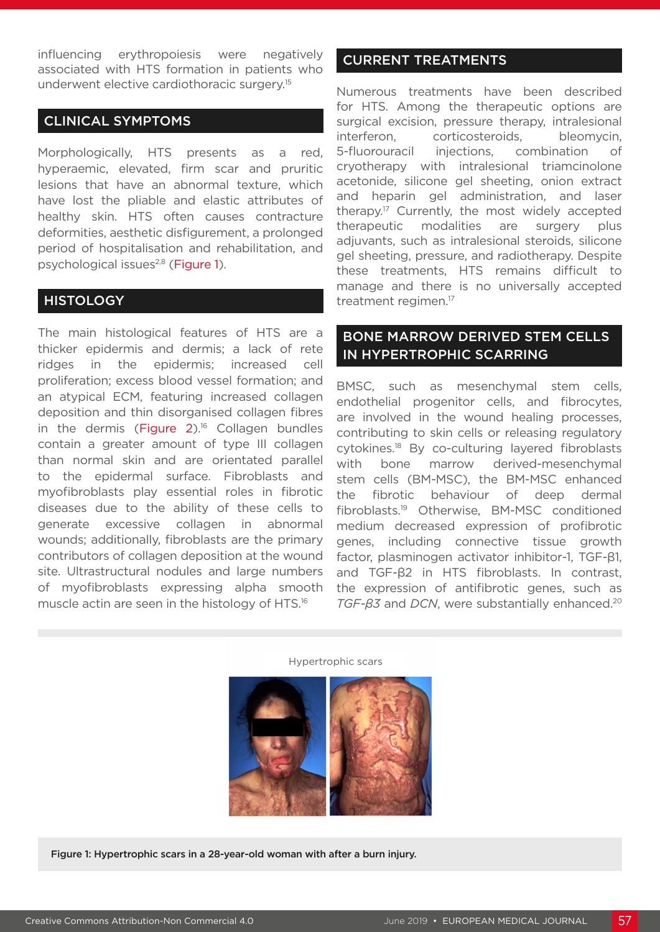influencing erythropoiesis were negatively associated with HTS formation in patients who underwent elective cardiothoracic surgery.15

# CLINICAL SYMPTOMS

Morphologically, HTS presents as a red, hyperaemic, elevated, firm scar and pruritic lesions that have an abnormal texture, which have lost the pliable and elastic attributes of healthy skin. HTS often causes contracture deformities, aesthetic disfigurement, a prolonged period of hospitalisation and rehabilitation, and psychological issues<sup>2,8</sup> (Figure 1).

### **HISTOLOGY**

The main histological features of HTS are a thicker epidermis and dermis; a lack of rete ridges in the epidermis; increased cell proliferation; excess blood vessel formation; and an atypical ECM, featuring increased collagen deposition and thin disorganised collagen fibres in the dermis (Figure  $2$ ).<sup>16</sup> Collagen bundles contain a greater amount of type III collagen than normal skin and are orientated parallel to the epidermal surface. Fibroblasts and myofibroblasts play essential roles in fibrotic diseases due to the ability of these cells to generate excessive collagen in abnormal wounds; additionally, fibroblasts are the primary contributors of collagen deposition at the wound site. Ultrastructural nodules and large numbers of myofibroblasts expressing alpha smooth muscle actin are seen in the histology of HTS.16

# CURRENT TREATMENTS

Numerous treatments have been described for HTS. Among the therapeutic options are surgical excision, pressure therapy, intralesional interferon, corticosteroids, bleomycin, 5-fluorouracil injections, combination of cryotherapy with intralesional triamcinolone acetonide, silicone gel sheeting, onion extract and heparin gel administration, and laser therapy.<sup>17</sup> Currently, the most widely accepted therapeutic modalities are surgery plus adjuvants, such as intralesional steroids, silicone gel sheeting, pressure, and radiotherapy. Despite these treatments, HTS remains difficult to manage and there is no universally accepted treatment regimen.17

### BONE MARROW DERIVED STEM CELLS IN HYPERTROPHIC SCARRING

BMSC, such as mesenchymal stem cells, endothelial progenitor cells, and fibrocytes, are involved in the wound healing processes, contributing to skin cells or releasing regulatory cytokines.18 By co-culturing layered fibroblasts with bone marrow derived-mesenchymal stem cells (BM-MSC), the BM-MSC enhanced the fibrotic behaviour of deep dermal fibroblasts.19 Otherwise, BM-MSC conditioned medium decreased expression of profibrotic genes, including connective tissue growth factor, plasminogen activator inhibitor-1, TGF-β1, and TGF-β2 in HTS fibroblasts. In contrast, the expression of antifibrotic genes, such as *TGF-β3* and *DCN*, were substantially enhanced.20

#### Hypertrophic scars



Figure 1: Hypertrophic scars in a 28-year-old woman with after a burn injury.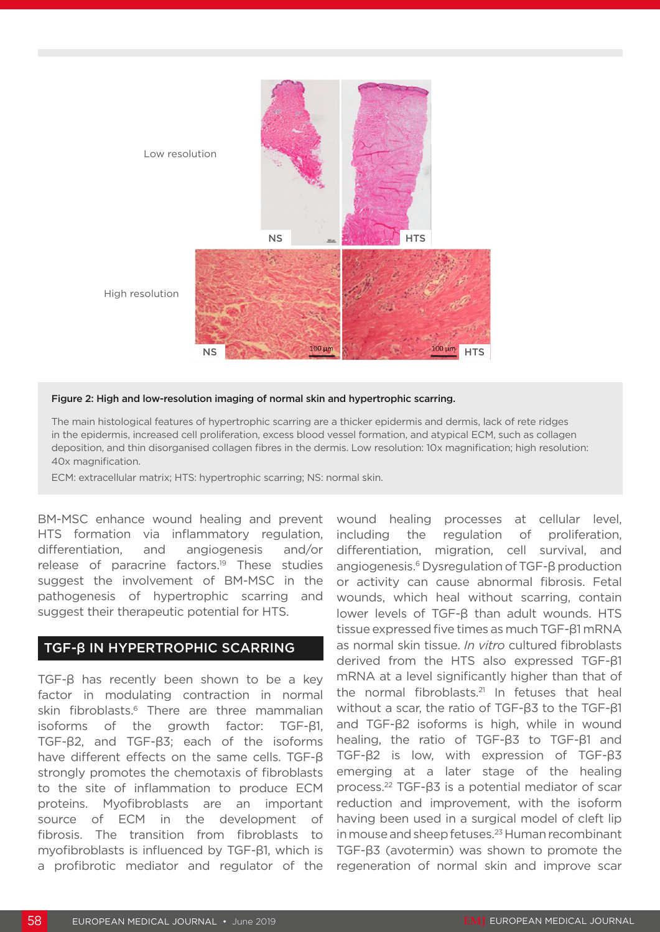

### Figure 2: High and low-resolution imaging of normal skin and hypertrophic scarring.

The main histological features of hypertrophic scarring are a thicker epidermis and dermis, lack of rete ridges in the epidermis, increased cell proliferation, excess blood vessel formation, and atypical ECM, such as collagen deposition, and thin disorganised collagen fibres in the dermis. Low resolution: 10x magnification; high resolution: 40x magnification.

ECM: extracellular matrix; HTS: hypertrophic scarring; NS: normal skin.

BM-MSC enhance wound healing and prevent HTS formation via inflammatory regulation, differentiation, and angiogenesis and/or release of paracrine factors.19 These studies suggest the involvement of BM-MSC in the pathogenesis of hypertrophic scarring and suggest their therapeutic potential for HTS.

### TGF-β IN HYPERTROPHIC SCARRING

TGF-β has recently been shown to be a key factor in modulating contraction in normal skin fibroblasts.<sup>6</sup> There are three mammalian isoforms of the growth factor: TGF-β1, TGF-β2, and TGF-β3; each of the isoforms have different effects on the same cells. TGF-β strongly promotes the chemotaxis of fibroblasts to the site of inflammation to produce ECM proteins. Myofibroblasts are an important source of ECM in the development of fibrosis. The transition from fibroblasts to myofibroblasts is influenced by TGF-β1, which is a profibrotic mediator and regulator of the

wound healing processes at cellular level, including the regulation of proliferation, differentiation, migration, cell survival, and angiogenesis.6 Dysregulation of TGF-β production or activity can cause abnormal fibrosis. Fetal wounds, which heal without scarring, contain lower levels of TGF-β than adult wounds. HTS tissue expressed five times as much TGF-β1 mRNA as normal skin tissue. *In vitro* cultured fibroblasts derived from the HTS also expressed TGF-β1 mRNA at a level significantly higher than that of the normal fibroblasts.<sup>21</sup> In fetuses that heal without a scar, the ratio of TGF-β3 to the TGF-β1 and TGF-β2 isoforms is high, while in wound healing, the ratio of TGF-β3 to TGF-β1 and TGF-β2 is low, with expression of TGF-β3 emerging at a later stage of the healing process.22 TGF-β3 is a potential mediator of scar reduction and improvement, with the isoform having been used in a surgical model of cleft lip in mouse and sheep fetuses.<sup>23</sup> Human recombinant TGF-β3 (avotermin) was shown to promote the regeneration of normal skin and improve scar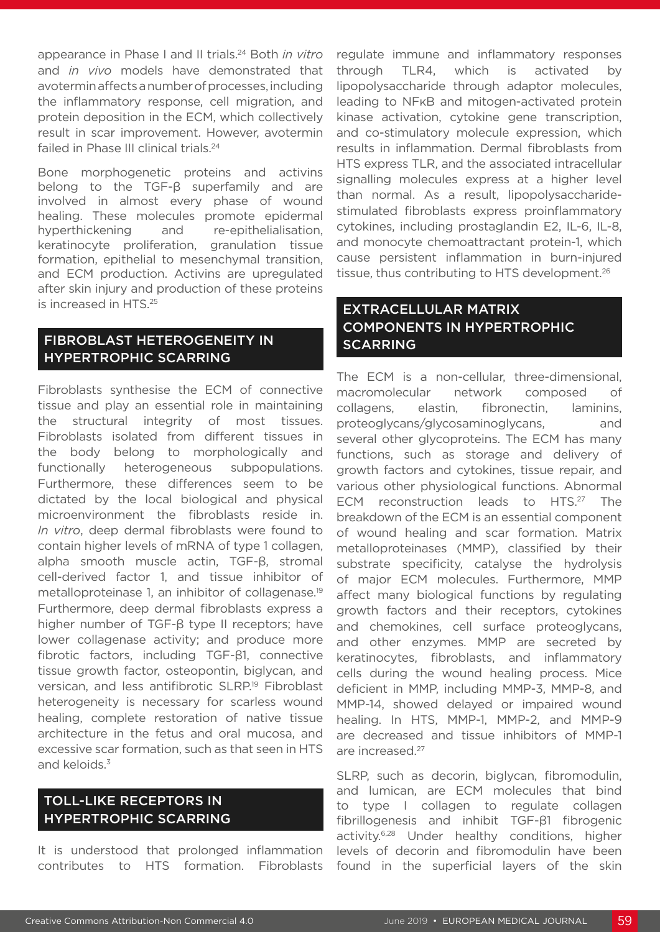appearance in Phase I and II trials.24 Both *in vitro* and *in vivo* models have demonstrated that avotermin affects a number of processes, including the inflammatory response, cell migration, and protein deposition in the ECM, which collectively result in scar improvement. However, avotermin failed in Phase III clinical trials.<sup>24</sup>

Bone morphogenetic proteins and activins belong to the TGF-β superfamily and are involved in almost every phase of wound healing. These molecules promote epidermal hyperthickening and re-epithelialisation, keratinocyte proliferation, granulation tissue formation, epithelial to mesenchymal transition, and ECM production. Activins are upregulated after skin injury and production of these proteins is increased in HTS.25

### FIBROBLAST HETEROGENEITY IN HYPERTROPHIC SCARRING

Fibroblasts synthesise the ECM of connective tissue and play an essential role in maintaining the structural integrity of most tissues. Fibroblasts isolated from different tissues in the body belong to morphologically and functionally heterogeneous subpopulations. Furthermore, these differences seem to be dictated by the local biological and physical microenvironment the fibroblasts reside in. *In vitro*, deep dermal fibroblasts were found to contain higher levels of mRNA of type 1 collagen, alpha smooth muscle actin, TGF-β, stromal cell-derived factor 1, and tissue inhibitor of metalloproteinase 1, an inhibitor of collagenase.<sup>19</sup> Furthermore, deep dermal fibroblasts express a higher number of TGF-β type II receptors; have lower collagenase activity; and produce more fibrotic factors, including TGF-β1, connective tissue growth factor, osteopontin, biglycan, and versican, and less antifibrotic SLRP.<sup>19</sup> Fibroblast heterogeneity is necessary for scarless wound healing, complete restoration of native tissue architecture in the fetus and oral mucosa, and excessive scar formation, such as that seen in HTS and keloids.<sup>3</sup>

# TOLL-LIKE RECEPTORS IN HYPERTROPHIC SCARRING

It is understood that prolonged inflammation contributes to HTS formation. Fibroblasts

regulate immune and inflammatory responses through TLR4, which is activated by lipopolysaccharide through adaptor molecules, leading to NFκB and mitogen-activated protein kinase activation, cytokine gene transcription, and co-stimulatory molecule expression, which results in inflammation. Dermal fibroblasts from HTS express TLR, and the associated intracellular signalling molecules express at a higher level than normal. As a result, lipopolysaccharidestimulated fibroblasts express proinflammatory cytokines, including prostaglandin E2, IL-6, IL-8, and monocyte chemoattractant protein-1, which cause persistent inflammation in burn-injured tissue, thus contributing to HTS development.26

# EXTRACELLULAR MATRIX COMPONENTS IN HYPERTROPHIC **SCARRING**

The ECM is a non-cellular, three-dimensional, macromolecular network composed of collagens, elastin, fibronectin, laminins, proteoglycans/glycosaminoglycans, and several other glycoproteins. The ECM has many functions, such as storage and delivery of growth factors and cytokines, tissue repair, and various other physiological functions. Abnormal ECM reconstruction leads to HTS.<sup>27</sup> The breakdown of the ECM is an essential component of wound healing and scar formation. Matrix metalloproteinases (MMP), classified by their substrate specificity, catalyse the hydrolysis of major ECM molecules. Furthermore, MMP affect many biological functions by regulating growth factors and their receptors, cytokines and chemokines, cell surface proteoglycans, and other enzymes. MMP are secreted by keratinocytes, fibroblasts, and inflammatory cells during the wound healing process. Mice deficient in MMP, including MMP-3, MMP-8, and MMP-14, showed delayed or impaired wound healing. In HTS, MMP-1, MMP-2, and MMP-9 are decreased and tissue inhibitors of MMP-1 are increased.27

SLRP, such as decorin, biglycan, fibromodulin, and lumican, are ECM molecules that bind to type I collagen to regulate collagen fibrillogenesis and inhibit TGF-β1 fibrogenic activity.6,28 Under healthy conditions, higher levels of decorin and fibromodulin have been found in the superficial layers of the skin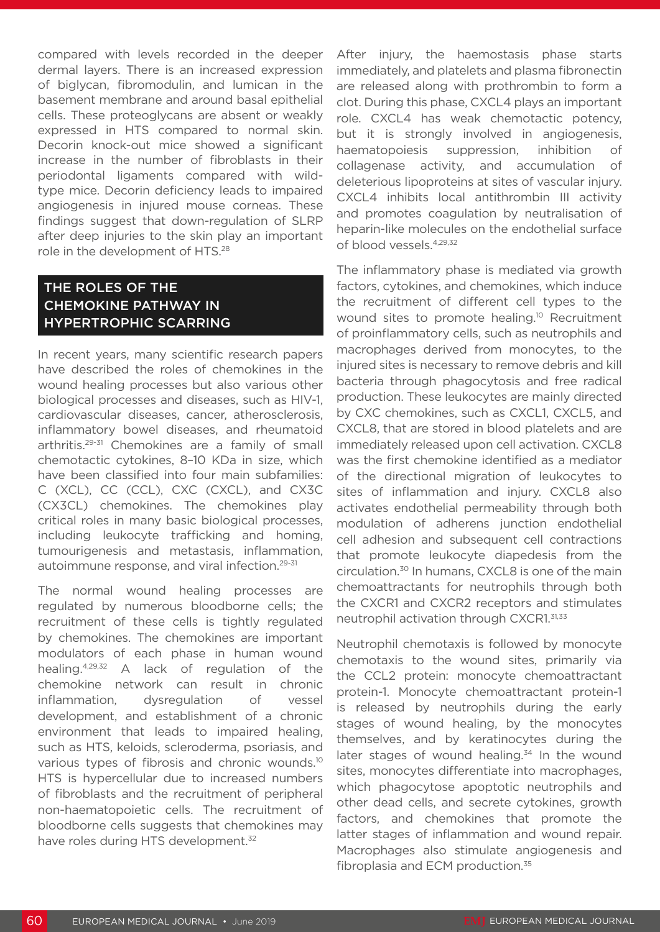compared with levels recorded in the deeper dermal layers. There is an increased expression of biglycan, fibromodulin, and lumican in the basement membrane and around basal epithelial cells. These proteoglycans are absent or weakly expressed in HTS compared to normal skin. Decorin knock-out mice showed a significant increase in the number of fibroblasts in their periodontal ligaments compared with wildtype mice. Decorin deficiency leads to impaired angiogenesis in injured mouse corneas. These findings suggest that down-regulation of SLRP after deep injuries to the skin play an important role in the development of HTS.28

# THE ROLES OF THE CHEMOKINE PATHWAY IN HYPERTROPHIC SCARRING

In recent years, many scientific research papers have described the roles of chemokines in the wound healing processes but also various other biological processes and diseases, such as HIV-1, cardiovascular diseases, cancer, atherosclerosis, inflammatory bowel diseases, and rheumatoid arthritis.29-31 Chemokines are a family of small chemotactic cytokines, 8–10 KDa in size, which have been classified into four main subfamilies: C (XCL), CC (CCL), CXC (CXCL), and CX3C (CX3CL) chemokines. The chemokines play critical roles in many basic biological processes, including leukocyte trafficking and homing, tumourigenesis and metastasis, inflammation, autoimmune response, and viral infection.29-31

The normal wound healing processes are regulated by numerous bloodborne cells; the recruitment of these cells is tightly regulated by chemokines. The chemokines are important modulators of each phase in human wound healing.4,29,32 A lack of regulation of the chemokine network can result in chronic inflammation, dysregulation of vessel development, and establishment of a chronic environment that leads to impaired healing, such as HTS, keloids, scleroderma, psoriasis, and various types of fibrosis and chronic wounds.10 HTS is hypercellular due to increased numbers of fibroblasts and the recruitment of peripheral non-haematopoietic cells. The recruitment of bloodborne cells suggests that chemokines may have roles during HTS development.<sup>32</sup>

After injury, the haemostasis phase starts immediately, and platelets and plasma fibronectin are released along with prothrombin to form a clot. During this phase, CXCL4 plays an important role. CXCL4 has weak chemotactic potency, but it is strongly involved in angiogenesis, haematopoiesis suppression, inhibition of collagenase activity, and accumulation of deleterious lipoproteins at sites of vascular injury. CXCL4 inhibits local antithrombin III activity and promotes coagulation by neutralisation of heparin-like molecules on the endothelial surface of blood vessels.4,29,32

The inflammatory phase is mediated via growth factors, cytokines, and chemokines, which induce the recruitment of different cell types to the wound sites to promote healing.<sup>10</sup> Recruitment of proinflammatory cells, such as neutrophils and macrophages derived from monocytes, to the injured sites is necessary to remove debris and kill bacteria through phagocytosis and free radical production. These leukocytes are mainly directed by CXC chemokines, such as CXCL1, CXCL5, and CXCL8, that are stored in blood platelets and are immediately released upon cell activation. CXCL8 was the first chemokine identified as a mediator of the directional migration of leukocytes to sites of inflammation and injury. CXCL8 also activates endothelial permeability through both modulation of adherens junction endothelial cell adhesion and subsequent cell contractions that promote leukocyte diapedesis from the circulation.30 In humans, CXCL8 is one of the main chemoattractants for neutrophils through both the CXCR1 and CXCR2 receptors and stimulates neutrophil activation through CXCR1.31,33

Neutrophil chemotaxis is followed by monocyte chemotaxis to the wound sites, primarily via the CCL2 protein: monocyte chemoattractant protein-1. Monocyte chemoattractant protein-1 is released by neutrophils during the early stages of wound healing, by the monocytes themselves, and by keratinocytes during the later stages of wound healing. $34$  In the wound sites, monocytes differentiate into macrophages, which phagocytose apoptotic neutrophils and other dead cells, and secrete cytokines, growth factors, and chemokines that promote the latter stages of inflammation and wound repair. Macrophages also stimulate angiogenesis and fibroplasia and ECM production.35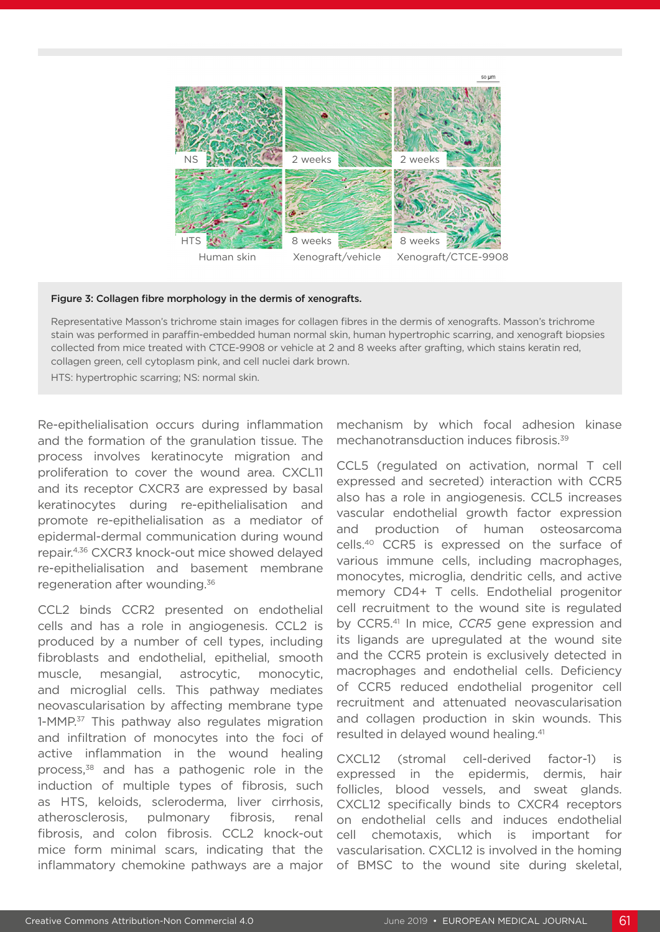

#### Figure 3: Collagen fibre morphology in the dermis of xenografts.

Representative Masson's trichrome stain images for collagen fibres in the dermis of xenografts. Masson's trichrome stain was performed in paraffin-embedded human normal skin, human hypertrophic scarring, and xenograft biopsies collected from mice treated with CTCE-9908 or vehicle at 2 and 8 weeks after grafting, which stains keratin red, collagen green, cell cytoplasm pink, and cell nuclei dark brown.

HTS: hypertrophic scarring; NS: normal skin.

Re-epithelialisation occurs during inflammation and the formation of the granulation tissue. The process involves keratinocyte migration and proliferation to cover the wound area. CXCL11 and its receptor CXCR3 are expressed by basal keratinocytes during re-epithelialisation and promote re-epithelialisation as a mediator of epidermal-dermal communication during wound repair.4,36 CXCR3 knock-out mice showed delayed re-epithelialisation and basement membrane regeneration after wounding.36

CCL2 binds CCR2 presented on endothelial cells and has a role in angiogenesis. CCL2 is produced by a number of cell types, including fibroblasts and endothelial, epithelial, smooth muscle, mesangial, astrocytic, monocytic, and microglial cells. This pathway mediates neovascularisation by affecting membrane type 1-MMP.<sup>37</sup> This pathway also regulates migration and infiltration of monocytes into the foci of active inflammation in the wound healing process,<sup>38</sup> and has a pathogenic role in the induction of multiple types of fibrosis, such as HTS, keloids, scleroderma, liver cirrhosis, atherosclerosis, pulmonary fibrosis, renal fibrosis, and colon fibrosis. CCL2 knock-out mice form minimal scars, indicating that the inflammatory chemokine pathways are a major mechanism by which focal adhesion kinase mechanotransduction induces fibrosis.39

CCL5 (regulated on activation, normal T cell expressed and secreted) interaction with CCR5 also has a role in angiogenesis. CCL5 increases vascular endothelial growth factor expression and production of human osteosarcoma cells.40 CCR5 is expressed on the surface of various immune cells, including macrophages, monocytes, microglia, dendritic cells, and active memory CD4+ T cells. Endothelial progenitor cell recruitment to the wound site is regulated by CCR5.41 In mice, *CCR5* gene expression and its ligands are upregulated at the wound site and the CCR5 protein is exclusively detected in macrophages and endothelial cells. Deficiency of CCR5 reduced endothelial progenitor cell recruitment and attenuated neovascularisation and collagen production in skin wounds. This resulted in delayed wound healing.41

CXCL12 (stromal cell-derived factor-1) is expressed in the epidermis, dermis, hair follicles, blood vessels, and sweat glands. CXCL12 specifically binds to CXCR4 receptors on endothelial cells and induces endothelial cell chemotaxis, which is important for vascularisation. CXCL12 is involved in the homing of BMSC to the wound site during skeletal,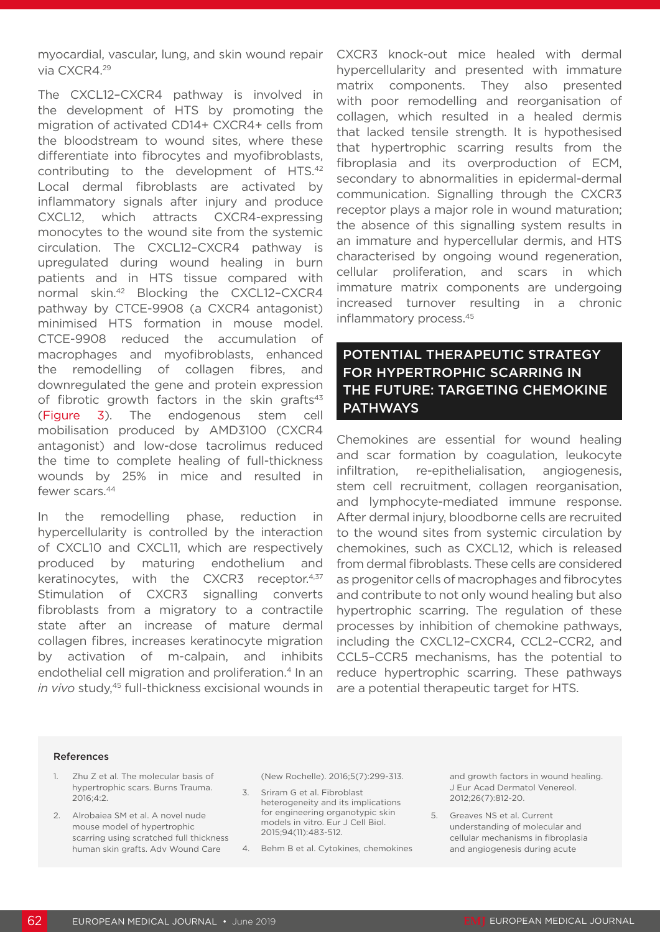myocardial, vascular, lung, and skin wound repair via CXCR4.29

The CXCL12–CXCR4 pathway is involved in the development of HTS by promoting the migration of activated CD14+ CXCR4+ cells from the bloodstream to wound sites, where these differentiate into fibrocytes and myofibroblasts, contributing to the development of HTS.42 Local dermal fibroblasts are activated by inflammatory signals after injury and produce CXCL12, which attracts CXCR4-expressing monocytes to the wound site from the systemic circulation. The CXCL12–CXCR4 pathway is upregulated during wound healing in burn patients and in HTS tissue compared with normal skin.42 Blocking the CXCL12–CXCR4 pathway by CTCE-9908 (a CXCR4 antagonist) minimised HTS formation in mouse model. CTCE-9908 reduced the accumulation of macrophages and myofibroblasts, enhanced the remodelling of collagen fibres, and downregulated the gene and protein expression of fibrotic growth factors in the skin grafts $43$ (Figure 3). The endogenous stem cell mobilisation produced by AMD3100 (CXCR4 antagonist) and low-dose tacrolimus reduced the time to complete healing of full-thickness wounds by 25% in mice and resulted in fewer scars.<sup>44</sup>

In the remodelling phase, reduction in hypercellularity is controlled by the interaction of CXCL10 and CXCL11, which are respectively produced by maturing endothelium and keratinocytes, with the CXCR3 receptor.4,37 Stimulation of CXCR3 signalling converts fibroblasts from a migratory to a contractile state after an increase of mature dermal collagen fibres, increases keratinocyte migration by activation of m-calpain, and inhibits endothelial cell migration and proliferation.<sup>4</sup> In an in vivo study,<sup>45</sup> full-thickness excisional wounds in CXCR3 knock-out mice healed with dermal hypercellularity and presented with immature matrix components. They also presented with poor remodelling and reorganisation of collagen, which resulted in a healed dermis that lacked tensile strength. It is hypothesised that hypertrophic scarring results from the fibroplasia and its overproduction of ECM, secondary to abnormalities in epidermal-dermal communication. Signalling through the CXCR3 receptor plays a major role in wound maturation; the absence of this signalling system results in an immature and hypercellular dermis, and HTS characterised by ongoing wound regeneration, cellular proliferation, and scars in which immature matrix components are undergoing increased turnover resulting in a chronic inflammatory process.45

POTENTIAL THERAPEUTIC STRATEGY FOR HYPERTROPHIC SCARRING IN THE FUTURE: TARGETING CHEMOKINE PATHWAYS

Chemokines are essential for wound healing and scar formation by coagulation, leukocyte infiltration, re-epithelialisation, angiogenesis, stem cell recruitment, collagen reorganisation, and lymphocyte-mediated immune response. After dermal injury, bloodborne cells are recruited to the wound sites from systemic circulation by chemokines, such as CXCL12, which is released from dermal fibroblasts. These cells are considered as progenitor cells of macrophages and fibrocytes and contribute to not only wound healing but also hypertrophic scarring. The regulation of these processes by inhibition of chemokine pathways, including the CXCL12–CXCR4, CCL2–CCR2, and CCL5–CCR5 mechanisms, has the potential to reduce hypertrophic scarring. These pathways are a potential therapeutic target for HTS.

#### References

- 1. Zhu Z et al. The molecular basis of hypertrophic scars. Burns Trauma. 2016;4:2.
- 2. Alrobaiea SM et al. A novel nude mouse model of hypertrophic scarring using scratched full thickness human skin grafts. Adv Wound Care

(New Rochelle). 2016;5(7):299-313.

- 3. Sriram G et al. Fibroblast heterogeneity and its implications for engineering organotypic skin models in vitro. Eur J Cell Biol. 2015;94(11):483-512.
- 4. Behm B et al. Cytokines, chemokines

and growth factors in wound healing. J Eur Acad Dermatol Venereol. 2012;26(7):812-20.

5. Greaves NS et al. Current understanding of molecular and cellular mechanisms in fibroplasia and angiogenesis during acute